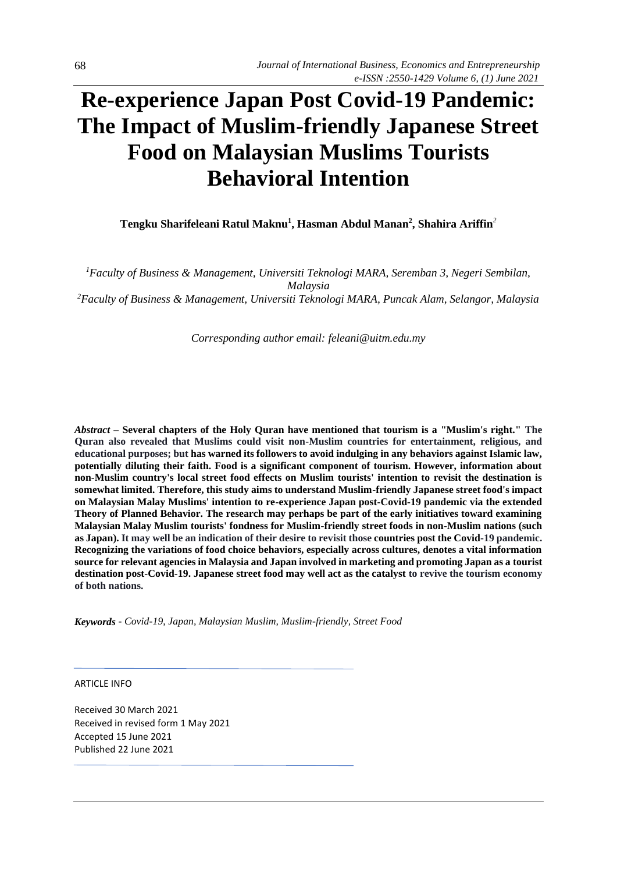# **Re-experience Japan Post Covid-19 Pandemic: The Impact of Muslim-friendly Japanese Street Food on Malaysian Muslims Tourists Behavioral Intention**

**Tengku Sharifeleani Ratul Maknu<sup>1</sup> , Hasman Abdul Manan<sup>2</sup> , Shahira Ariffin***<sup>2</sup>*

*<sup>1</sup>Faculty of Business & Management, Universiti Teknologi MARA, Seremban 3, Negeri Sembilan, Malaysia <sup>2</sup>Faculty of Business & Management, Universiti Teknologi MARA, Puncak Alam, Selangor, Malaysia*

*Corresponding author email: feleani@uitm.edu.my* 

*Abstract –* **Several chapters of the Holy Quran have mentioned that tourism is a "Muslim's right." The Quran also revealed that Muslims could visit non-Muslim countries for entertainment, religious, and educational purposes; but has warned its followers to avoid indulging in any behaviors against Islamic law, potentially diluting their faith. Food is a significant component of tourism. However, information about non-Muslim country's local street food effects on Muslim tourists' intention to revisit the destination is somewhat limited. Therefore, this study aims to understand Muslim-friendly Japanese street food's impact on Malaysian Malay Muslims' intention to re-experience Japan post-Covid-19 pandemic via the extended Theory of Planned Behavior. The research may perhaps be part of the early initiatives toward examining Malaysian Malay Muslim tourists' fondness for Muslim-friendly street foods in non-Muslim nations (such as Japan). It may well be an indication of their desire to revisit those countries post the Covid-19 pandemic. Recognizing the variations of food choice behaviors, especially across cultures, denotes a vital information source for relevant agencies in Malaysia and Japan involved in marketing and promoting Japan as a tourist destination post-Covid-19. Japanese street food may well act as the catalyst to revive the tourism economy of both nations.** 

*Keywords* - *Covid-19*, *Japan, Malaysian Muslim, Muslim-friendly, Street Food* 

ARTICLE INFO

Received 30 March 2021 Received in revised form 1 May 2021 Accepted 15 June 2021 Published 22 June 2021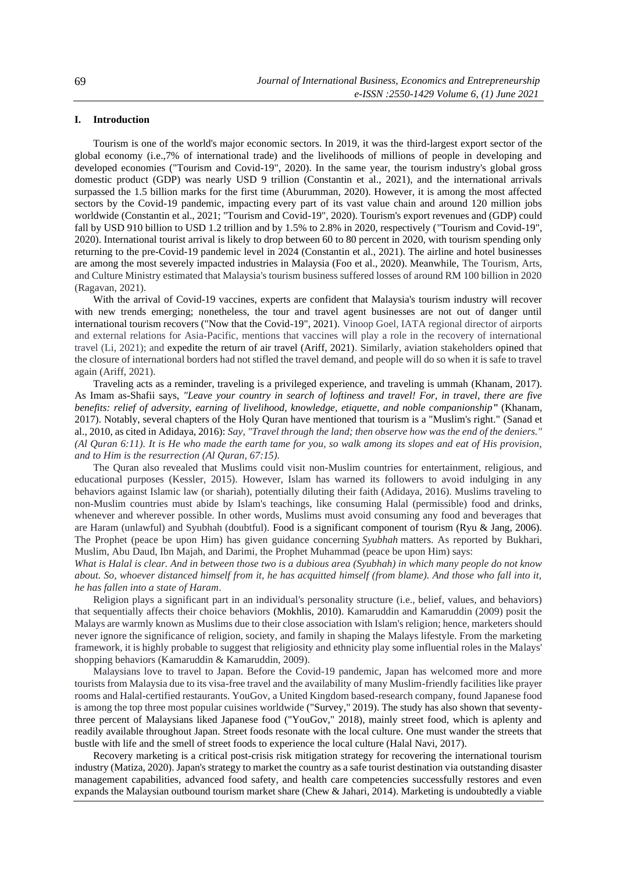## **I. Introduction**

Tourism is one of the world's major economic sectors. In 2019, it was the third-largest export sector of the global economy (i.e.,7% of international trade) and the livelihoods of millions of people in developing and developed economies ("Tourism and Covid-19", 2020). In the same year, the tourism industry's global gross domestic product (GDP) was nearly USD 9 trillion (Constantin et al., 2021), and the international arrivals surpassed the 1.5 billion marks for the first time (Aburumman, 2020). However, it is among the most affected sectors by the Covid-19 pandemic, impacting every part of its vast value chain and around 120 million jobs worldwide (Constantin et al., 2021; "Tourism and Covid-19", 2020). Tourism's export revenues and (GDP) could fall by USD 910 billion to USD 1.2 trillion and by 1.5% to 2.8% in 2020, respectively ("Tourism and Covid-19", 2020). International tourist arrival is likely to drop between 60 to 80 percent in 2020, with tourism spending only returning to the pre-Covid-19 pandemic level in 2024 (Constantin et al., 2021). The airline and hotel businesses are among the most severely impacted industries in Malaysia (Foo et al., 2020). Meanwhile, The Tourism, Arts, and Culture Ministry estimated that Malaysia's tourism business suffered losses of around RM 100 billion in 2020 (Ragavan, 2021).

With the arrival of Covid-19 vaccines, experts are confident that Malaysia's tourism industry will recover with new trends emerging; nonetheless, the tour and travel agent businesses are not out of danger until international tourism recovers ("Now that the Covid-19", 2021). Vinoop Goel, IATA regional director of airports and external relations for Asia-Pacific, mentions that vaccines will play a role in the recovery of international travel (Li, 2021); and expedite the return of air travel (Ariff, 2021). Similarly, aviation stakeholders opined that the closure of international borders had not stifled the travel demand, and people will do so when it is safe to travel again (Ariff, 2021).

Traveling acts as a reminder, traveling is a privileged experience, and traveling is ummah (Khanam, 2017). As Imam as-Shafii says, *"Leave your country in search of loftiness and travel! For, in travel, there are five benefits: relief of adversity, earning of livelihood, knowledge, etiquette, and noble companionship***"** (Khanam, 2017). Notably, several chapters of the Holy Quran have mentioned that tourism is a "Muslim's right." (Sanad et al., 2010, as cited in Adidaya, 2016): *Say, "Travel through the land; then observe how was the end of the deniers." (Al Quran 6:11). It is He who made the earth tame for you, so walk among its slopes and eat of His provision, and to Him is the resurrection (Al Quran, 67:15).*

The Quran also revealed that Muslims could visit non-Muslim countries for entertainment, religious, and educational purposes (Kessler, 2015). However, Islam has warned its followers to avoid indulging in any behaviors against Islamic law (or shariah), potentially diluting their faith (Adidaya, 2016). Muslims traveling to non-Muslim countries must abide by Islam's teachings, like consuming Halal (permissible) food and drinks, whenever and wherever possible. In other words, Muslims must avoid consuming any food and beverages that are Haram (unlawful) and Syubhah (doubtful). Food is a significant component of tourism (Ryu & Jang, 2006). The Prophet (peace be upon Him) has given guidance concerning *Syubhah* matters. As reported by Bukhari, Muslim, Abu Daud, Ibn Majah, and Darimi, the Prophet Muhammad (peace be upon Him) says:

*What is Halal is clear. And in between those two is a dubious area (Syubhah) in which many people do not know about. So, whoever distanced himself from it, he has acquitted himself (from blame). And those who fall into it, he has fallen into a state of Haram*.

Religion plays a significant part in an individual's personality structure (i.e., belief, values, and behaviors) that sequentially affects their choice behaviors (Mokhlis, 2010). Kamaruddin and Kamaruddin (2009) posit the Malays are warmly known as Muslims due to their close association with Islam's religion; hence, marketers should never ignore the significance of religion, society, and family in shaping the Malays lifestyle. From the marketing framework, it is highly probable to suggest that religiosity and ethnicity play some influential roles in the Malays' shopping behaviors (Kamaruddin & Kamaruddin, 2009).

Malaysians love to travel to Japan. Before the Covid-19 pandemic, Japan has welcomed more and more tourists from Malaysia due to its visa-free travel and the availability of many Muslim-friendly facilities like prayer rooms and Halal-certified restaurants. YouGov, a United Kingdom based-research company, found Japanese food is among the top three most popular cuisines worldwide ("Survey," 2019). The study has also shown that seventythree percent of Malaysians liked Japanese food ("YouGov," 2018), mainly street food, which is aplenty and readily available throughout Japan. Street foods resonate with the local culture. One must wander the streets that bustle with life and the smell of street foods to experience the local culture (Halal Navi, 2017).

Recovery marketing is a critical post-crisis risk mitigation strategy for recovering the international tourism industry (Matiza, 2020). Japan's strategy to market the country as a safe tourist destination via outstanding disaster management capabilities, advanced food safety, and health care competencies successfully restores and even expands the Malaysian outbound tourism market share (Chew & Jahari, 2014). Marketing is undoubtedly a viable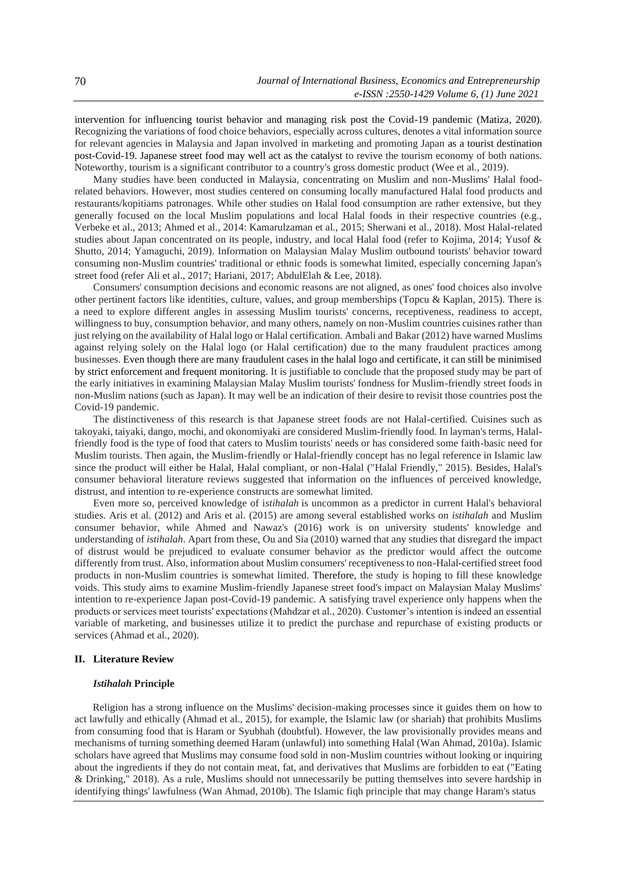intervention for influencing tourist behavior and managing risk post the Covid-19 pandemic (Matiza, 2020). Recognizing the variations of food choice behaviors, especially across cultures, denotes a vital information source for relevant agencies in Malaysia and Japan involved in marketing and promoting Japan as a tourist destination post-Covid-19. Japanese street food may well act as the catalyst to revive the tourism economy of both nations. Noteworthy, tourism is a significant contributor to a country's gross domestic product (Wee et al., 2019).

Many studies have been conducted in Malaysia, concentrating on Muslim and non-Muslims' Halal foodrelated behaviors. However, most studies centered on consuming locally manufactured Halal food products and restaurants/kopitiams patronages. While other studies on Halal food consumption are rather extensive, but they generally focused on the local Muslim populations and local Halal foods in their respective countries (e.g., Verbeke et al., 2013; Ahmed et al., 2014: Kamarulzaman et al., 2015; Sherwani et al., 2018). Most Halal-related studies about Japan concentrated on its people, industry, and local Halal food (refer to Kojima, 2014; Yusof & Shutto, 2014; Yamaguchi, 2019). Information on Malaysian Malay Muslim outbound tourists' behavior toward consuming non-Muslim countries' traditional or ethnic foods is somewhat limited, especially concerning Japan's street food (refer Ali et al., 2017; Hariani, 2017; AbdulElah & Lee, 2018).

Consumers' consumption decisions and economic reasons are not aligned, as ones' food choices also involve other pertinent factors like identities, culture, values, and group memberships (Topcu & Kaplan, 2015). There is a need to explore different angles in assessing Muslim tourists' concerns, receptiveness, readiness to accept, willingness to buy, consumption behavior, and many others, namely on non-Muslim countries cuisines rather than just relying on the availability of Halal logo or Halal certification. Ambali and Bakar (2012) have warned Muslims against relying solely on the Halal logo (or Halal certification) due to the many fraudulent practices among businesses. Even though there are many fraudulent cases in the halal logo and certificate, it can still be minimised by strict enforcement and frequent monitoring. It is justifiable to conclude that the proposed study may be part of the early initiatives in examining Malaysian Malay Muslim tourists' fondness for Muslim-friendly street foods in non-Muslim nations (such as Japan). It may well be an indication of their desire to revisit those countries post the Covid-19 pandemic.

The distinctiveness of this research is that Japanese street foods are not Halal-certified. Cuisines such as takoyaki, taiyaki, dango, mochi, and okonomiyaki are considered Muslim-friendly food. In layman's terms, Halalfriendly food is the type of food that caters to Muslim tourists' needs or has considered some faith-basic need for Muslim tourists. Then again, the Muslim-friendly or Halal-friendly concept has no legal reference in Islamic law since the product will either be Halal, Halal compliant, or non-Halal ("Halal Friendly," 2015). Besides, Halal's consumer behavioral literature reviews suggested that information on the influences of perceived knowledge, distrust, and intention to re-experience constructs are somewhat limited.

Even more so, perceived knowledge of i*stihalah* is uncommon as a predictor in current Halal's behavioral studies. Aris et al. (2012) and Aris et al. (2015) are among several established works on *istihalah* and Muslim consumer behavior, while Ahmed and Nawaz's (2016) work is on university students' knowledge and understanding of *istihalah*. Apart from these, Ou and Sia (2010) warned that any studies that disregard the impact of distrust would be prejudiced to evaluate consumer behavior as the predictor would affect the outcome differently from trust. Also, information about Muslim consumers' receptiveness to non-Halal-certified street food products in non-Muslim countries is somewhat limited. Therefore, the study is hoping to fill these knowledge voids. This study aims to examine Muslim-friendly Japanese street food's impact on Malaysian Malay Muslims' intention to re-experience Japan post-Covid-19 pandemic. A satisfying travel experience only happens when the products or services meet tourists' expectations (Mahdzar et al., 2020). Customer's intention is indeed an essential variable of marketing, and businesses utilize it to predict the purchase and repurchase of existing products or services (Ahmad et al., 2020).

#### **II. Literature Review**

#### *Istihalah* **Principle**

Religion has a strong influence on the Muslims' decision-making processes since it guides them on how to act lawfully and ethically (Ahmad et al., 2015), for example, the Islamic law (or shariah) that prohibits Muslims from consuming food that is Haram or Syubhah (doubtful). However, the law provisionally provides means and mechanisms of turning something deemed Haram (unlawful) into something Halal (Wan Ahmad, 2010a). Islamic scholars have agreed that Muslims may consume food sold in non-Muslim countries without looking or inquiring about the ingredients if they do not contain meat, fat, and derivatives that Muslims are forbidden to eat ("Eating & Drinking," 2018). As a rule, Muslims should not unnecessarily be putting themselves into severe hardship in identifying things' lawfulness (Wan Ahmad, 2010b). The Islamic fiqh principle that may change Haram's status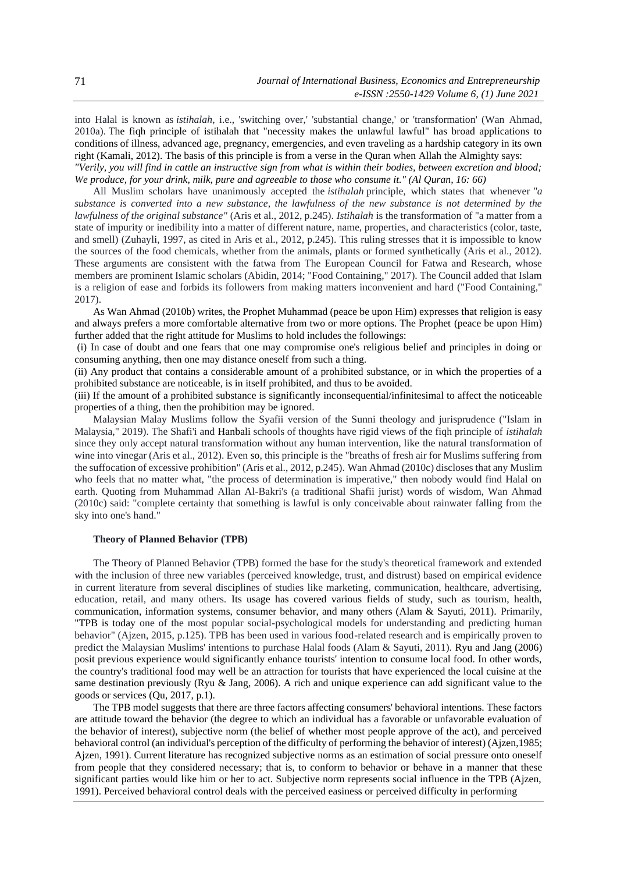into Halal is known as *istihalah*, i.e., 'switching over,' 'substantial change,' or 'transformation' (Wan Ahmad, 2010a). The fiqh principle of istihalah that "necessity makes the unlawful lawful" has broad applications to conditions of illness, advanced age, pregnancy, emergencies, and even traveling as a hardship category in its own right (Kamali, 2012). The basis of this principle is from a verse in the Quran when Allah the Almighty says: *"Verily, you will find in cattle an instructive sign from what is within their bodies, between excretion and blood; We produce, for your drink, milk, pure and agreeable to those who consume it." (Al Quran, 16: 66)*

All Muslim scholars have unanimously accepted the *istihalah* principle, which states that whenever *"a substance is converted into a new substance, the lawfulness of the new substance is not determined by the lawfulness of the original substance"* (Aris et al., 2012, p.245). *Istihalah* is the transformation of "a matter from a state of impurity or inedibility into a matter of different nature, name, properties, and characteristics (color, taste, and smell) (Zuhayli, 1997, as cited in Aris et al., 2012, p.245). This ruling stresses that it is impossible to know the sources of the food chemicals, whether from the animals, plants or formed synthetically (Aris et al., 2012). These arguments are consistent with the fatwa from The European Council for Fatwa and Research, whose members are prominent Islamic scholars (Abidin, 2014; "Food Containing," 2017). The Council added that Islam is a religion of ease and forbids its followers from making matters inconvenient and hard ("Food Containing," 2017).

As Wan Ahmad (2010b) writes, the Prophet Muhammad (peace be upon Him) expresses that religion is easy and always prefers a more comfortable alternative from two or more options. The Prophet (peace be upon Him) further added that the right attitude for Muslims to hold includes the followings:

(i) In case of doubt and one fears that one may compromise one's religious belief and principles in doing or consuming anything, then one may distance oneself from such a thing.

(ii) Any product that contains a considerable amount of a prohibited substance, or in which the properties of a prohibited substance are noticeable, is in itself prohibited, and thus to be avoided.

(iii) If the amount of a prohibited substance is significantly inconsequential/infinitesimal to affect the noticeable properties of a thing, then the prohibition may be ignored.

Malaysian Malay Muslims follow the Syafii version of the Sunni theology and jurisprudence ("Islam in Malaysia," 2019). The Shafi'i and Hanbali schools of thoughts have rigid views of the fiqh principle of *istihalah* since they only accept natural transformation without any human intervention, like the natural transformation of wine into vinegar (Aris et al., 2012). Even so, this principle is the "breaths of fresh air for Muslims suffering from the suffocation of excessive prohibition" (Aris et al., 2012, p.245). Wan Ahmad (2010c) discloses that any Muslim who feels that no matter what, "the process of determination is imperative," then nobody would find Halal on earth. Quoting from Muhammad Allan Al-Bakri's (a traditional Shafii jurist) words of wisdom, Wan Ahmad (2010c) said: "complete certainty that something is lawful is only conceivable about rainwater falling from the sky into one's hand."

#### **Theory of Planned Behavior (TPB)**

The Theory of Planned Behavior (TPB) formed the base for the study's theoretical framework and extended with the inclusion of three new variables (perceived knowledge, trust, and distrust) based on empirical evidence in current literature from several disciplines of studies like marketing, communication, healthcare, advertising, education, retail, and many others. Its usage has covered various fields of study, such as tourism, health, communication, information systems, consumer behavior, and many others (Alam & Sayuti, 2011). Primarily, "TPB is today one of the most popular social-psychological models for understanding and predicting human behavior" (Ajzen, 2015, p.125). TPB has been used in various food-related research and is empirically proven to predict the Malaysian Muslims' intentions to purchase Halal foods (Alam & Sayuti, 2011). Ryu and Jang (2006) posit previous experience would significantly enhance tourists' intention to consume local food. In other words, the country's traditional food may well be an attraction for tourists that have experienced the local cuisine at the same destination previously (Ryu & Jang, 2006). A rich and unique experience can add significant value to the goods or services (Qu, 2017, p.1).

The TPB model suggests that there are three factors affecting consumers' behavioral intentions. These factors are attitude toward the behavior (the degree to which an individual has a favorable or unfavorable evaluation of the behavior of interest), subjective norm (the belief of whether most people approve of the act), and perceived behavioral control (an individual's perception of the difficulty of performing the behavior of interest) (Ajzen,1985; Ajzen, 1991). Current literature has recognized subjective norms as an estimation of social pressure onto oneself from people that they considered necessary; that is, to conform to behavior or behave in a manner that these significant parties would like him or her to act. Subjective norm represents social influence in the TPB (Ajzen, 1991). Perceived behavioral control deals with the perceived easiness or perceived difficulty in performing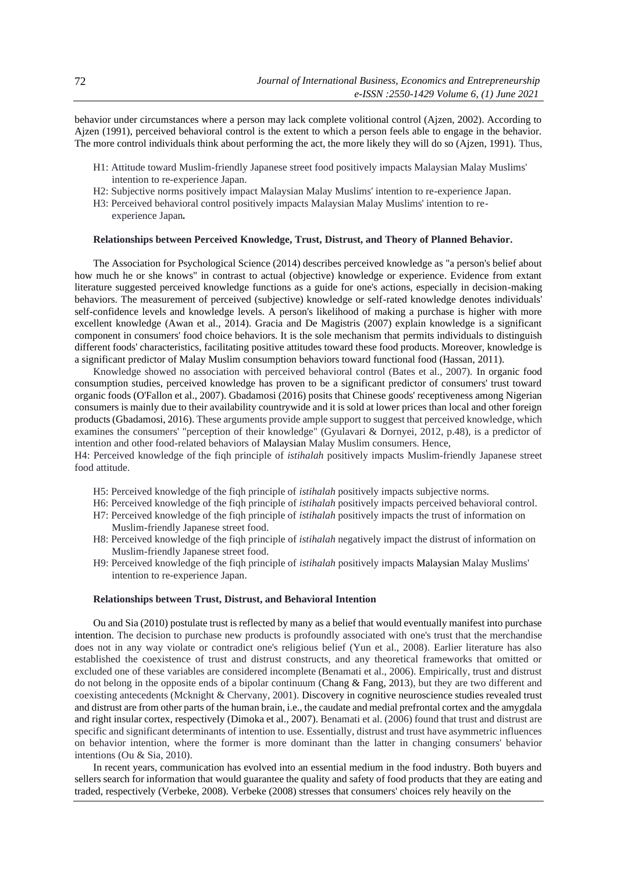behavior under circumstances where a person may lack complete volitional control (Ajzen, 2002). According to Ajzen (1991), perceived behavioral control is the extent to which a person feels able to engage in the behavior. The more control individuals think about performing the act, the more likely they will do so (Ajzen, 1991). Thus,

- H1: Attitude toward Muslim-friendly Japanese street food positively impacts Malaysian Malay Muslims' intention to re-experience Japan.
- H2: Subjective norms positively impact Malaysian Malay Muslims' intention to re-experience Japan.
- H3: Perceived behavioral control positively impacts Malaysian Malay Muslims' intention to reexperience Japan*.*

### **Relationships between Perceived Knowledge, Trust, Distrust, and Theory of Planned Behavior.**

The Association for Psychological Science (2014) describes perceived knowledge as "a person's belief about how much he or she knows" in contrast to actual (objective) knowledge or experience. Evidence from extant literature suggested perceived knowledge functions as a guide for one's actions, especially in decision-making behaviors. The measurement of perceived (subjective) knowledge or self-rated knowledge denotes individuals' self-confidence levels and knowledge levels. A person's likelihood of making a purchase is higher with more excellent knowledge (Awan et al., 2014). Gracia and De Magistris (2007) explain knowledge is a significant component in consumers' food choice behaviors. It is the sole mechanism that permits individuals to distinguish different foods' characteristics, facilitating positive attitudes toward these food products. Moreover, knowledge is a significant predictor of Malay Muslim consumption behaviors toward functional food (Hassan, 2011).

Knowledge showed no association with perceived behavioral control (Bates et al., 2007). In organic food consumption studies, perceived knowledge has proven to be a significant predictor of consumers' trust toward organic foods (O'Fallon et al., 2007). Gbadamosi (2016) posits that Chinese goods' receptiveness among Nigerian consumers is mainly due to their availability countrywide and it is sold at lower prices than local and other foreign products (Gbadamosi, 2016). These arguments provide ample support to suggest that perceived knowledge, which examines the consumers' "perception of their knowledge" (Gyulavari & Dornyei, 2012, p.48), is a predictor of intention and other food-related behaviors of Malaysian Malay Muslim consumers. Hence,

H4: Perceived knowledge of the fiqh principle of *istihalah* positively impacts Muslim-friendly Japanese street food attitude.

- H5: Perceived knowledge of the fiqh principle of *istihalah* positively impacts subjective norms.
- H6: Perceived knowledge of the fiqh principle of *istihalah* positively impacts perceived behavioral control.
- H7: Perceived knowledge of the fiqh principle of *istihalah* positively impacts the trust of information on Muslim-friendly Japanese street food.
- H8: Perceived knowledge of the fiqh principle of *istihalah* negatively impact the distrust of information on Muslim-friendly Japanese street food.
- H9: Perceived knowledge of the fiqh principle of *istihalah* positively impacts Malaysian Malay Muslims' intention to re-experience Japan.

#### **Relationships between Trust, Distrust, and Behavioral Intention**

Ou and Sia (2010) postulate trust is reflected by many as a belief that would eventually manifest into purchase intention. The decision to purchase new products is profoundly associated with one's trust that the merchandise does not in any way violate or contradict one's religious belief (Yun et al., 2008). Earlier literature has also established the coexistence of trust and distrust constructs, and any theoretical frameworks that omitted or excluded one of these variables are considered incomplete (Benamati et al., 2006). Empirically, trust and distrust do not belong in the opposite ends of a bipolar continuum (Chang & Fang, 2013), but they are two different and coexisting antecedents (Mcknight & Chervany, 2001). Discovery in cognitive neuroscience studies revealed trust and distrust are from other parts of the human brain, i.e., the caudate and medial prefrontal cortex and the amygdala and right insular cortex, respectively (Dimoka et al., 2007). Benamati et al. (2006) found that trust and distrust are specific and significant determinants of intention to use. Essentially, distrust and trust have asymmetric influences on behavior intention, where the former is more dominant than the latter in changing consumers' behavior intentions (Ou & Sia, 2010).

In recent years, communication has evolved into an essential medium in the food industry. Both buyers and sellers search for information that would guarantee the quality and safety of food products that they are eating and traded, respectively (Verbeke, 2008). Verbeke (2008) stresses that consumers' choices rely heavily on the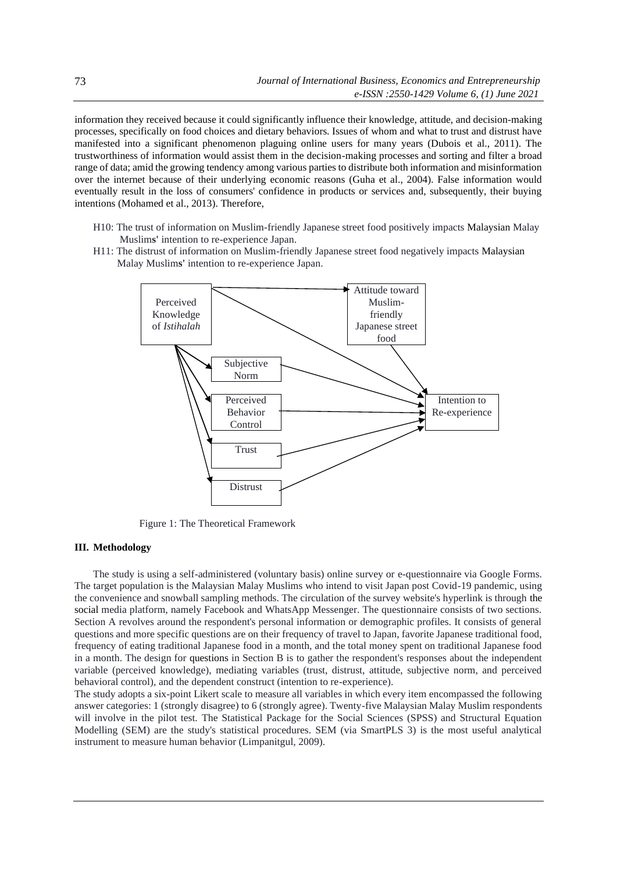information they received because it could significantly influence their knowledge, attitude, and decision-making processes, specifically on food choices and dietary behaviors. Issues of whom and what to trust and distrust have manifested into a significant phenomenon plaguing online users for many years (Dubois et al., 2011). The trustworthiness of information would assist them in the decision-making processes and sorting and filter a broad range of data; amid the growing tendency among various parties to distribute both information and misinformation over the internet because of their underlying economic reasons (Guha et al., 2004). False information would eventually result in the loss of consumers' confidence in products or services and, subsequently, their buying intentions (Mohamed et al., 2013). Therefore,

- H10: The trust of information on Muslim-friendly Japanese street food positively impacts Malaysian Malay Muslim**s'** intention to re-experience Japan.
- H11: The distrust of information on Muslim-friendly Japanese street food negatively impacts Malaysian Malay Muslim**s'** intention to re-experience Japan.



Figure 1: The Theoretical Framework

#### **III. Methodology**

The study is using a self-administered (voluntary basis) online survey or e-questionnaire via Google Forms. The target population is the Malaysian Malay Muslims who intend to visit Japan post Covid-19 pandemic, using the convenience and snowball sampling methods. The circulation of the survey website's hyperlink is through the social media platform, namely Facebook and WhatsApp Messenger. The questionnaire consists of two sections. Section A revolves around the respondent's personal information or demographic profiles. It consists of general questions and more specific questions are on their frequency of travel to Japan, favorite Japanese traditional food, frequency of eating traditional Japanese food in a month, and the total money spent on traditional Japanese food in a month. The design for questions in Section B is to gather the respondent's responses about the independent variable (perceived knowledge), mediating variables (trust, distrust, attitude, subjective norm, and perceived behavioral control), and the dependent construct (intention to re-experience).

The study adopts a six-point Likert scale to measure all variables in which every item encompassed the following answer categories: 1 (strongly disagree) to 6 (strongly agree). Twenty-five Malaysian Malay Muslim respondents will involve in the pilot test. The Statistical Package for the Social Sciences (SPSS) and Structural Equation Modelling (SEM) are the study's statistical procedures. SEM (via SmartPLS 3) is the most useful analytical instrument to measure human behavior (Limpanitgul, 2009).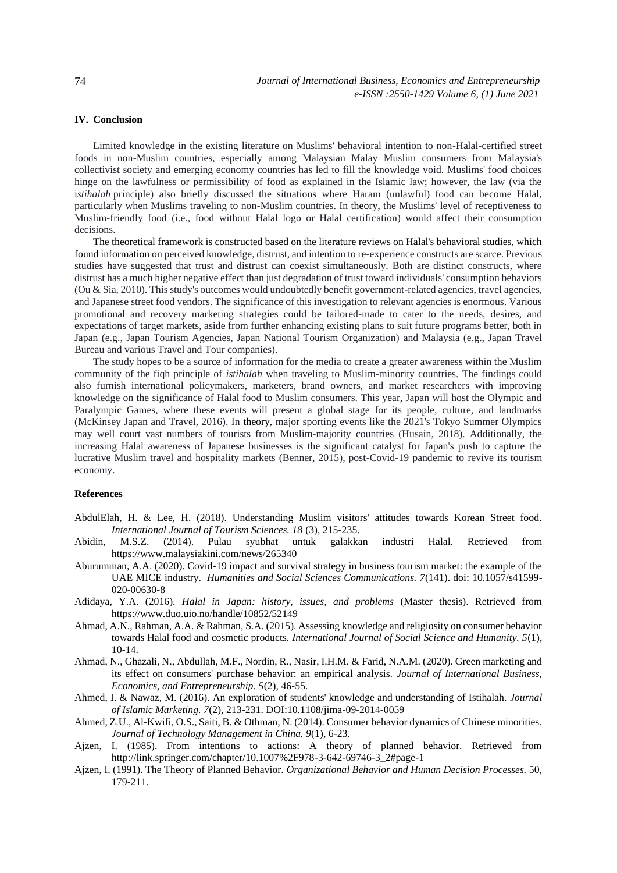## **IV. Conclusion**

Limited knowledge in the existing literature on Muslims' behavioral intention to non-Halal-certified street foods in non-Muslim countries, especially among Malaysian Malay Muslim consumers from Malaysia's collectivist society and emerging economy countries has led to fill the knowledge void. Muslims' food choices hinge on the lawfulness or permissibility of food as explained in the Islamic law; however, the law (via the i*stihalah* principle) also briefly discussed the situations where Haram (unlawful) food can become Halal, particularly when Muslims traveling to non-Muslim countries. In theory, the Muslims' level of receptiveness to Muslim-friendly food (i.e., food without Halal logo or Halal certification) would affect their consumption decisions.

The theoretical framework is constructed based on the literature reviews on Halal's behavioral studies, which found information on perceived knowledge, distrust, and intention to re-experience constructs are scarce. Previous studies have suggested that trust and distrust can coexist simultaneously. Both are distinct constructs, where distrust has a much higher negative effect than just degradation of trust toward individuals' consumption behaviors (Ou & Sia, 2010). This study's outcomes would undoubtedly benefit government-related agencies, travel agencies, and Japanese street food vendors. The significance of this investigation to relevant agencies is enormous. Various promotional and recovery marketing strategies could be tailored-made to cater to the needs, desires, and expectations of target markets, aside from further enhancing existing plans to suit future programs better, both in Japan (e.g., Japan Tourism Agencies, Japan National Tourism Organization) and Malaysia (e.g., Japan Travel Bureau and various Travel and Tour companies).

The study hopes to be a source of information for the media to create a greater awareness within the Muslim community of the fiqh principle of *istihalah* when traveling to Muslim-minority countries. The findings could also furnish international policymakers, marketers, brand owners, and market researchers with improving knowledge on the significance of Halal food to Muslim consumers. This year, Japan will host the Olympic and Paralympic Games, where these events will present a global stage for its people, culture, and landmarks (McKinsey Japan and Travel, 2016). In theory, major sporting events like the 2021's Tokyo Summer Olympics may well court vast numbers of tourists from Muslim-majority countries (Husain, 2018). Additionally, the increasing Halal awareness of Japanese businesses is the significant catalyst for Japan's push to capture the lucrative Muslim travel and hospitality markets (Benner, 2015), post-Covid-19 pandemic to revive its tourism economy.

### **References**

- AbdulElah, H. & Lee, H. (2018). Understanding Muslim visitors' attitudes towards Korean Street food. *International Journal of Tourism Sciences. 18* (3), 215-235.
- Abidin, M.S.Z. (2014). Pulau syubhat untuk galakkan industri Halal. Retrieved from <https://www.malaysiakini.com/news/265340>
- Aburumman, A.A. (2020). Covid-19 impact and survival strategy in business tourism market: the example of the UAE MICE industry. *Humanities and Social Sciences Communications. 7*(141). doi: 10.1057/s41599- 020-00630-8
- Adidaya, Y.A. (2016). *Halal in Japan: history, issues, and problems* (Master thesis). Retrieved from https://www.duo.uio.no/handle/10852/52149
- Ahmad, A.N., Rahman, A.A. & Rahman, S.A. (2015). Assessing knowledge and religiosity on consumer behavior towards Halal food and cosmetic products. *International Journal of Social Science and Humanity. 5*(1), 10-14.
- Ahmad, N., Ghazali, N., Abdullah, M.F., Nordin, R., Nasir, I.H.M. & Farid, N.A.M. (2020). Green marketing and its effect on consumers' purchase behavior: an empirical analysis. *Journal of International Business, Economics, and Entrepreneurship. 5*(2), 46-55.
- Ahmed, I. & Nawaz, M. (2016). An exploration of students' knowledge and understanding of Istihalah. *Journal of Islamic Marketing. 7*(2), 213-231. DOI:10.1108/jima-09-2014-0059
- Ahmed, Z.U., Al-Kwifi, O.S., Saiti, B. & Othman, N. (2014). Consumer behavior dynamics of Chinese minorities. *Journal of Technology Management in China. 9*(1), 6-23.
- Ajzen, I. (1985). From intentions to actions: A theory of planned behavior. Retrieved from http://link.springer.com/chapter/10.1007%2F978-3-642-69746-3\_2#page-1
- Ajzen, I. (1991). The Theory of Planned Behavior. *Organizational Behavior and Human Decision Processes.* 50, 179-211.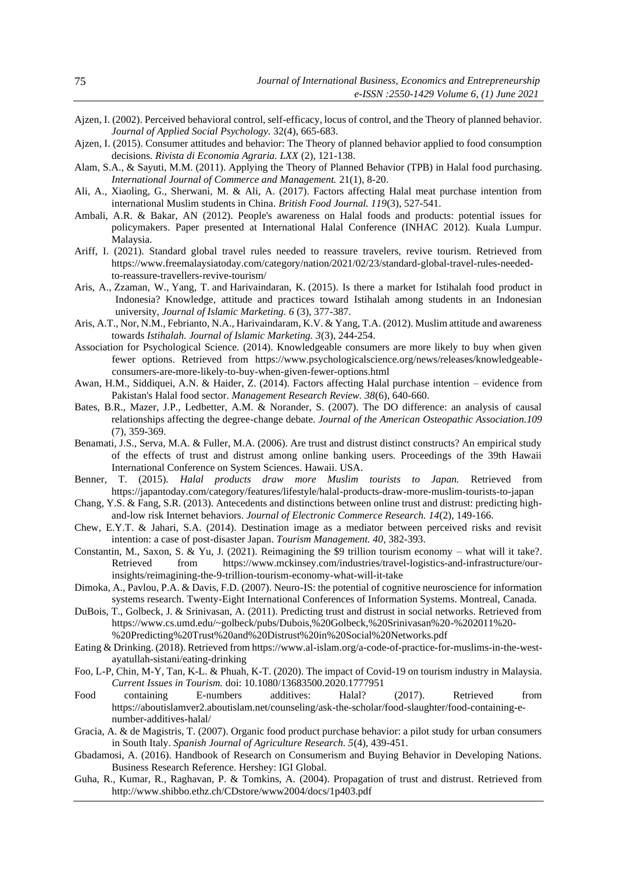- Ajzen, I. (2002). Perceived behavioral control, self-efficacy, locus of control, and the Theory of planned behavior. *Journal of Applied Social Psychology.* 32(4), 665-683.
- Ajzen, I. (2015). Consumer attitudes and behavior: The Theory of planned behavior applied to food consumption decisions. *Rivista di Economia Agraria. LXX* (2), 121-138.
- Alam, S.A., & Sayuti, M.M. (2011). Applying the Theory of Planned Behavior (TPB) in Halal food purchasing. *International Journal of Commerce and Management.* 21(1), 8-20.
- Ali, A., Xiaoling, G., Sherwani, M. & Ali, A. (2017). Factors affecting Halal meat purchase intention from international Muslim students in China. *British Food Journal. 119*(3), 527-541.
- Ambali, A.R. & Bakar, AN (2012). People's awareness on Halal foods and products: potential issues for policymakers. Paper presented at International Halal Conference (INHAC 2012). Kuala Lumpur. Malaysia.
- Ariff, I. (2021). Standard global travel rules needed to reassure travelers, revive tourism. Retrieved from [https://www.freemalaysiatoday.com/category/nation/2021/02/23/standard-global-travel-rules-needed](https://www.freemalaysiatoday.com/category/nation/2021/02/23/standard-global-travel-rules-needed-to-reassure-travellers-revive-tourism/)[to-reassure-travellers-revive-tourism/](https://www.freemalaysiatoday.com/category/nation/2021/02/23/standard-global-travel-rules-needed-to-reassure-travellers-revive-tourism/)
- [Aris, A.,](https://www.emerald.com/insight/search?q=Aadam%20T.%20Aris) [Zzaman, W.,](https://www.emerald.com/insight/search?q=Wahidu%20Zzaman) [Yang, T.](https://www.emerald.com/insight/search?q=Tajul%20A.%20%20Yang) and [Harivaindaran, K.](https://www.emerald.com/insight/search?q=K.V.%20Harivaindaran) (2015). Is there a market for Istihalah food product in Indonesia? Knowledge, attitude and practices toward Istihalah among students in an Indonesian university, *[Journal of Islamic Marketing.](https://www.emerald.com/insight/publication/issn/1759-0833) 6* (3), 377-387.
- Aris, A.T., Nor, N.M., Febrianto, N.A., Harivaindaram, K.V. & Yang, T.A. (2012). Muslim attitude and awareness towards *Istihalah. Journal of Islamic Marketing. 3*(3), 244-254.
- Association for Psychological Science. (2014). Knowledgeable consumers are more likely to buy when given fewer options. Retrieved from [https://www.psychologicalscience.org/news/releases/knowledgeable](https://www.psychologicalscience.org/news/releases/knowledgeable-consumers-are-more-likely-to-buy-when-given-fewer-options.html)[consumers-are-more-likely-to-buy-when-given-fewer-options.html](https://www.psychologicalscience.org/news/releases/knowledgeable-consumers-are-more-likely-to-buy-when-given-fewer-options.html)
- Awan, H.M., Siddiquei, A.N. & Haider, Z. (2014). Factors affecting Halal purchase intention evidence from Pakistan's Halal food sector. *Management Research Review. 38*(6), 640-660.
- Bates, B.R., Mazer, J.P., Ledbetter, A.M. & Norander, S. (2007). The DO difference: an analysis of causal relationships affecting the degree-change debate. *Journal of the American Osteopathic Association.109*  (7), 359-369.
- Benamati, J.S., Serva, M.A. & Fuller, M.A. (2006). Are trust and distrust distinct constructs? An empirical study of the effects of trust and distrust among online banking users. Proceedings of the 39th Hawaii International Conference on System Sciences. Hawaii. USA.
- Benner, T. (2015). *Halal products draw more Muslim tourists to Japan.* Retrieved from <https://japantoday.com/category/features/lifestyle/halal-products-draw-more-muslim-tourists-to-japan>
- Chang, Y.S. & Fang, S.R. (2013). Antecedents and distinctions between online trust and distrust: predicting highand-low risk Internet behaviors. *Journal of Electronic Commerce Research. 14*(2), 149-166.
- Chew, E.Y.T. & Jahari, S.A. (2014). Destination image as a mediator between perceived risks and revisit intention: a case of post-disaster Japan. *Tourism Management. 40*, 382-393.
- Constantin, M., Saxon, S. & Yu, J. (2021). Reimagining the \$9 trillion tourism economy what will it take?. Retrieved from [https://www.mckinsey.com/industries/travel-logistics-and-infrastructure/our](https://www.mckinsey.com/industries/travel-logistics-and-infrastructure/our-insights/reimagining-the-9-trillion-tourism-economy-what-will-it-take)[insights/reimagining-the-9-trillion-tourism-economy-what-will-it-take](https://www.mckinsey.com/industries/travel-logistics-and-infrastructure/our-insights/reimagining-the-9-trillion-tourism-economy-what-will-it-take)
- Dimoka, A., Pavlou, P.A. & Davis, F.D. (2007). Neuro-IS: the potential of cognitive neuroscience for information systems research. Twenty-Eight International Conferences of Information Systems. Montreal, Canada.
- DuBois, T., Golbeck, J. & Srinivasan, A. (2011). Predicting trust and distrust in social networks. Retrieved from [https://www.cs.umd.edu/~golbeck/pubs/Dubois,%20Golbeck,%20Srinivasan%20-%202011%20-](https://www.cs.umd.edu/~golbeck/pubs/Dubois,%20Golbeck,%20Srinivasan%20-%202011%20-%20Predicting%20Trust%20and%20Distrust%20in%20Social%20Networks.pdf) [%20Predicting%20Trust%20and%20Distrust%20in%20Social%20Networks.pdf](https://www.cs.umd.edu/~golbeck/pubs/Dubois,%20Golbeck,%20Srinivasan%20-%202011%20-%20Predicting%20Trust%20and%20Distrust%20in%20Social%20Networks.pdf)
- Eating & Drinking. (2018). Retrieved from https://www.al-islam.org/a-code-of-practice-for-muslims-in-the-westayatullah-sistani/eating-drinking
- Foo, L-P, Chin, M-Y, Tan, K-L. & Phuah, K-T. (2020). The impact of Covid-19 on tourism industry in Malaysia. *Current Issues in Tourism.* doi: [10.1080/13683500.2020.1777951](https://doi.org/10.1080/13683500.2020.1777951)
- Food containing E-numbers additives: Halal? (2017). Retrieved from [https://aboutislamver2.aboutislam.net/counseling/ask-the-scholar/food-slaughter/food-containing-e](https://aboutislamver2.aboutislam.net/counseling/ask-the-scholar/food-slaughter/food-containing-e-number-additives-halal/)[number-additives-halal/](https://aboutislamver2.aboutislam.net/counseling/ask-the-scholar/food-slaughter/food-containing-e-number-additives-halal/)
- Gracia, A. & de Magistris, T. (2007). Organic food product purchase behavior: a pilot study for urban consumers in South Italy. *Spanish Journal of Agriculture Research. 5*(4), 439-451.
- Gbadamosi, A. (2016). Handbook of Research on Consumerism and Buying Behavior in Developing Nations. Business Research Reference. Hershey: IGI Global.
- Guha, R., Kumar, R., Raghavan, P. & Tomkins, A. (2004). Propagation of trust and distrust. Retrieved from <http://www.shibbo.ethz.ch/CDstore/www2004/docs/1p403.pdf>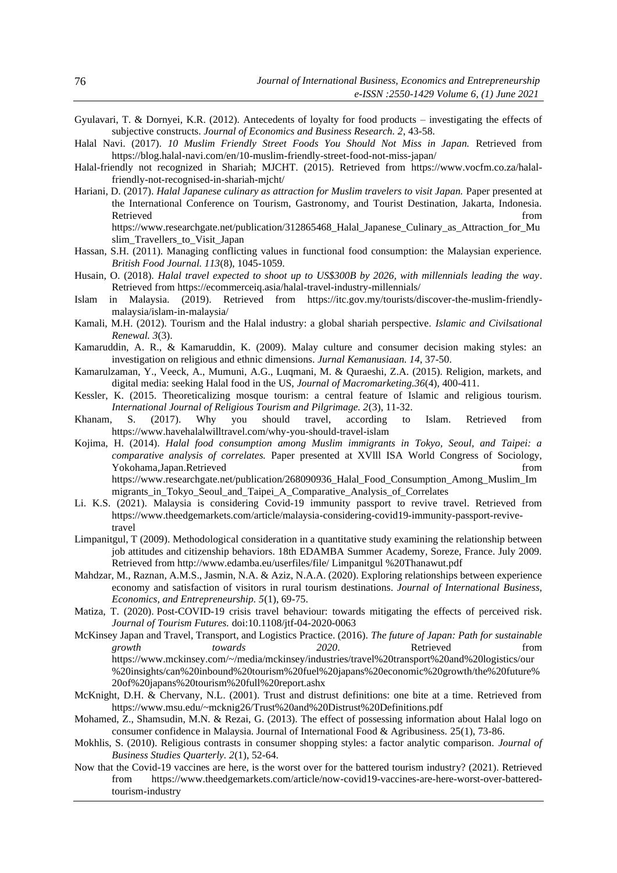- Gyulavari, T. & Dornyei, K.R. (2012). Antecedents of loyalty for food products investigating the effects of subjective constructs. *Journal of Economics and Business Research. 2*, 43-58.
- Halal Navi. (2017). *10 Muslim Friendly Street Foods You Should Not Miss in Japan.* Retrieved from <https://blog.halal-navi.com/en/10-muslim-friendly-street-food-not-miss-japan/>
- Halal-friendly not recognized in Shariah; MJCHT. (2015). Retrieved from [https://www.vocfm.co.za/halal](https://www.vocfm.co.za/halal-friendly-not-recognised-in-shariah-mjcht/)[friendly-not-recognised-in-shariah-mjcht/](https://www.vocfm.co.za/halal-friendly-not-recognised-in-shariah-mjcht/)
- Hariani, D. (2017). *Halal Japanese culinary as attraction for Muslim travelers to visit Japan.* Paper presented at the International Conference on Tourism, Gastronomy, and Tourist Destination, Jakarta, Indonesia. Retrieved that the contract of the contract of the contract of the contract of the contract of the contract of the contract of the contract of the contract of the contract of the contract of the contract of the contract of https://www.researchgate.net/publication/312865468 Halal Japanese Culinary as Attraction for Mu [slim\\_Travellers\\_to\\_Visit\\_Japan](https://www.researchgate.net/publication/312865468_Halal_Japanese_Culinary_as_Attraction_for_Muslim_Travellers_to_Visit_Japan)
- Hassan, S.H. (2011). Managing conflicting values in functional food consumption: the Malaysian experience. *British Food Journal. 113*(8), 1045-1059.
- Husain, O. (2018). *Halal travel expected to shoot up to US\$300B by 2026, with millennials leading the way*. Retrieved from https://ecommerceiq.asia/halal-travel-industry-millennials/
- Islam in Malaysia. (2019). Retrieved from [https://itc.gov.my/tourists/discover-the-muslim-friendly](https://itc.gov.my/tourists/discover-the-muslim-friendly-malaysia/islam-in-malaysia/)[malaysia/islam-in-malaysia/](https://itc.gov.my/tourists/discover-the-muslim-friendly-malaysia/islam-in-malaysia/)
- Kamali, M.H. (2012). Tourism and the Halal industry: a global shariah perspective. *Islamic and Civilsational Renewal. 3*(3).
- Kamaruddin, A. R., & Kamaruddin, K. (2009). Malay culture and consumer decision making styles: an investigation on religious and ethnic dimensions. *Jurnal Kemanusiaan. 14*, 37-50.
- Kamarulzaman, Y., Veeck, A., Mumuni, A.G., Luqmani, M. & Quraeshi, Z.A. (2015). Religion, markets, and digital media: seeking Halal food in the US, *Journal of Macromarketing.36*(4), 400-411.
- Kessler, K. (2015. Theoreticalizing mosque tourism: a central feature of Islamic and religious tourism. *International Journal of Religious Tourism and Pilgrimage.* 2(3), 11-32.<br> *A* S. (2017). Why you should travel, according to
- Khanam, S. (2017). Why you should travel, according to Islam. Retrieved from <https://www.havehalalwilltravel.com/why-you-should-travel-islam>
- Kojima, H. (2014). *Halal food consumption among Muslim immigrants in Tokyo, Seoul, and Taipei: a comparative analysis of correlates.* Paper presented at XVlll ISA World Congress of Sociology, Yokohama,Japan.Retrieved from [https://www.researchgate.net/publication/268090936\\_Halal\\_Food\\_Consumption\\_Among\\_Muslim\\_Im](https://www.researchgate.net/publication/268090936_Halal_Food_Consumption_Among_Muslim_Immigrants_in_Tokyo_Seoul_and_Taipei_A_Comparative_Analysis_of_Correlates) [migrants\\_in\\_Tokyo\\_Seoul\\_and\\_Taipei\\_A\\_Comparative\\_Analysis\\_of\\_Correlates](https://www.researchgate.net/publication/268090936_Halal_Food_Consumption_Among_Muslim_Immigrants_in_Tokyo_Seoul_and_Taipei_A_Comparative_Analysis_of_Correlates)
- Li. K.S. (2021). Malaysia is considering Covid-19 immunity passport to revive travel. Retrieved from https://www.theedgemarkets.com/article/malaysia-considering-covid19-immunity-passport-revivetravel
- Limpanitgul, T (2009). Methodological consideration in a quantitative study examining the relationship between job attitudes and citizenship behaviors. 18th EDAMBA Summer Academy, Soreze, France. July 2009. Retrieved from http://www.edamba.eu/userfiles/file/ Limpanitgul %20Thanawut.pdf
- Mahdzar, M., Raznan, A.M.S., Jasmin, N.A. & Aziz, N.A.A. (2020). Exploring relationships between experience economy and satisfaction of visitors in rural tourism destinations. *Journal of International Business, Economics, and Entrepreneurship. 5*(1), 69-75.
- Matiza, T. (2020). Post-COVID-19 crisis travel behaviour: towards mitigating the effects of perceived risk*. Journal of Tourism Futures.* doi:10.1108/jtf-04-2020-0063
- McKinsey Japan and Travel, Transport, and Logistics Practice. (2016). *The future of Japan: Path for sustainable growth towards 2020*. Retrieved from [https://www.mckinsey.com/~/media/mckinsey/industries/travel%20transport%20and%20logistics/our](https://www.mckinsey.com/~/media/mckinsey/industries/travel%20transport%20and%20logistics/our%20insights/can%20inbound%20tourism%20fuel%20japans%20economic%20growth/the%20future%20of%20japans%20tourism%20full%20report.ashx) [%20insights/can%20inbound%20tourism%20fuel%20japans%20economic%20growth/the%20future%](https://www.mckinsey.com/~/media/mckinsey/industries/travel%20transport%20and%20logistics/our%20insights/can%20inbound%20tourism%20fuel%20japans%20economic%20growth/the%20future%20of%20japans%20tourism%20full%20report.ashx) [20of%20japans%20tourism%20full%20report.ashx](https://www.mckinsey.com/~/media/mckinsey/industries/travel%20transport%20and%20logistics/our%20insights/can%20inbound%20tourism%20fuel%20japans%20economic%20growth/the%20future%20of%20japans%20tourism%20full%20report.ashx)
- McKnight, D.H. & Chervany, N.L. (2001). Trust and distrust definitions: one bite at a time. Retrieved from https://www.msu.edu/~mcknig26/Trust%20and%20Distrust%20Definitions.pdf
- Mohamed, Z., Shamsudin, M.N. & Rezai, G. (2013). The effect of possessing information about Halal logo on consumer confidence in Malaysia. Journal of International Food & Agribusiness. 25(1), 73-86.
- Mokhlis, S. (2010). Religious contrasts in consumer shopping styles: a factor analytic comparison. *Journal of Business Studies Quarterly. 2*(1), 52-64.
- Now that the Covid-19 vaccines are here, is the worst over for the battered tourism industry? (2021). Retrieved from https://www.theedgemarkets.com/article/now-covid19-vaccines-are-here-worst-over-batteredtourism-industry